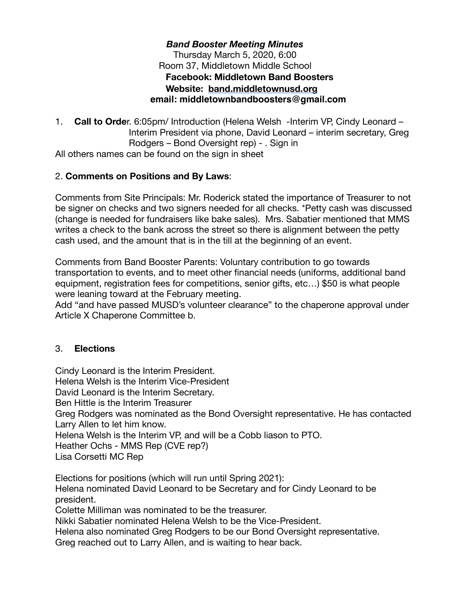#### *Band Booster Meeting Minutes* Thursday March 5, 2020, 6:00 Room 37, Middletown Middle School **Facebook: Middletown Band Boosters Website: [band.middletownusd.org](http://band.middletownusd.org/) email: middletownbandboosters@gmail.com**

1. **Call to Orde**r. 6:05pm/ Introduction (Helena Welsh -Interim VP, Cindy Leonard – Interim President via phone, David Leonard – interim secretary, Greg Rodgers – Bond Oversight rep) - . Sign in All others names can be found on the sign in sheet

## 2. **Comments on Positions and By Laws**:

Comments from Site Principals: Mr. Roderick stated the importance of Treasurer to not be signer on checks and two signers needed for all checks. \*Petty cash was discussed (change is needed for fundraisers like bake sales). Mrs. Sabatier mentioned that MMS writes a check to the bank across the street so there is alignment between the petty cash used, and the amount that is in the till at the beginning of an event.

Comments from Band Booster Parents: Voluntary contribution to go towards transportation to events, and to meet other financial needs (uniforms, additional band equipment, registration fees for competitions, senior gifts, etc…) \$50 is what people were leaning toward at the February meeting.

Add "and have passed MUSD's volunteer clearance" to the chaperone approval under Article X Chaperone Committee b.

### 3. **Elections**

Cindy Leonard is the Interim President. Helena Welsh is the Interim Vice-President David Leonard is the Interim Secretary. Ben Hittle is the Interim Treasurer Greg Rodgers was nominated as the Bond Oversight representative. He has contacted Larry Allen to let him know. Helena Welsh is the Interim VP, and will be a Cobb liason to PTO. Heather Ochs - MMS Rep (CVE rep?) Lisa Corsetti MC Rep

Elections for positions (which will run until Spring 2021): Helena nominated David Leonard to be Secretary and for Cindy Leonard to be president.

Colette Milliman was nominated to be the treasurer.

Nikki Sabatier nominated Helena Welsh to be the Vice-President.

Helena also nominated Greg Rodgers to be our Bond Oversight representative. Greg reached out to Larry Allen, and is waiting to hear back.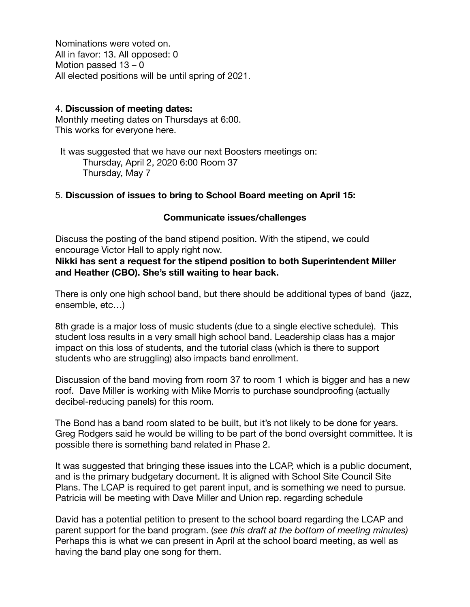Nominations were voted on. All in favor: 13. All opposed: 0 Motion passed 13 – 0 All elected positions will be until spring of 2021.

#### 4. **Discussion of meeting dates:**

Monthly meeting dates on Thursdays at 6:00. This works for everyone here.

 It was suggested that we have our next Boosters meetings on: Thursday, April 2, 2020 6:00 Room 37 Thursday, May 7

#### 5. **Discussion of issues to bring to School Board meeting on April 15:**

#### **Communicate issues/challenges**

Discuss the posting of the band stipend position. With the stipend, we could encourage Victor Hall to apply right now.

**Nikki has sent a request for the stipend position to both Superintendent Miller and Heather (CBO). She's still waiting to hear back.**

There is only one high school band, but there should be additional types of band (jazz, ensemble, etc…)

8th grade is a major loss of music students (due to a single elective schedule). This student loss results in a very small high school band. Leadership class has a major impact on this loss of students, and the tutorial class (which is there to support students who are struggling) also impacts band enrollment.

Discussion of the band moving from room 37 to room 1 which is bigger and has a new roof. Dave Miller is working with Mike Morris to purchase soundproofing (actually decibel-reducing panels) for this room.

The Bond has a band room slated to be built, but it's not likely to be done for years. Greg Rodgers said he would be willing to be part of the bond oversight committee. It is possible there is something band related in Phase 2.

It was suggested that bringing these issues into the LCAP, which is a public document, and is the primary budgetary document. It is aligned with School Site Council Site Plans. The LCAP is required to get parent input, and is something we need to pursue. Patricia will be meeting with Dave Miller and Union rep. regarding schedule

David has a potential petition to present to the school board regarding the LCAP and parent support for the band program. (*see this draft at the bottom of meeting minutes)*  Perhaps this is what we can present in April at the school board meeting, as well as having the band play one song for them.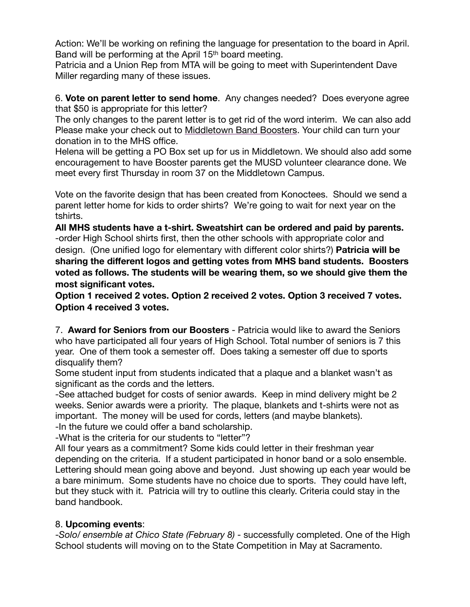Action: We'll be working on refining the language for presentation to the board in April. Band will be performing at the April 15<sup>th</sup> board meeting.

Patricia and a Union Rep from MTA will be going to meet with Superintendent Dave Miller regarding many of these issues.

6. **Vote on parent letter to send home**. Any changes needed? Does everyone agree that \$50 is appropriate for this letter?

The only changes to the parent letter is to get rid of the word interim. We can also add Please make your check out to Middletown Band Boosters. Your child can turn your donation in to the MHS office.

Helena will be getting a PO Box set up for us in Middletown. We should also add some encouragement to have Booster parents get the MUSD volunteer clearance done. We meet every first Thursday in room 37 on the Middletown Campus.

Vote on the favorite design that has been created from Konoctees. Should we send a parent letter home for kids to order shirts? We're going to wait for next year on the tshirts.

**All MHS students have a t-shirt. Sweatshirt can be ordered and paid by parents.** -order High School shirts first, then the other schools with appropriate color and design. (One unified logo for elementary with different color shirts?) **Patricia will be sharing the different logos and getting votes from MHS band students. Boosters voted as follows. The students will be wearing them, so we should give them the most significant votes.**

**Option 1 received 2 votes. Option 2 received 2 votes. Option 3 received 7 votes. Option 4 received 3 votes.**

7. **Award for Seniors from our Boosters** - Patricia would like to award the Seniors who have participated all four years of High School. Total number of seniors is 7 this year. One of them took a semester off. Does taking a semester off due to sports disqualify them?

Some student input from students indicated that a plaque and a blanket wasn't as significant as the cords and the letters.

-See attached budget for costs of senior awards. Keep in mind delivery might be 2 weeks. Senior awards were a priority. The plaque, blankets and t-shirts were not as important. The money will be used for cords, letters (and maybe blankets). -In the future we could offer a band scholarship.

-What is the criteria for our students to "letter"?

All four years as a commitment? Some kids could letter in their freshman year depending on the criteria. If a student participated in honor band or a solo ensemble. Lettering should mean going above and beyond. Just showing up each year would be a bare minimum. Some students have no choice due to sports. They could have left, but they stuck with it. Patricia will try to outline this clearly. Criteria could stay in the band handbook.

### 8. **Upcoming events**:

-*Solo/ ensemble at Chico State (February 8)* - successfully completed. One of the High School students will moving on to the State Competition in May at Sacramento.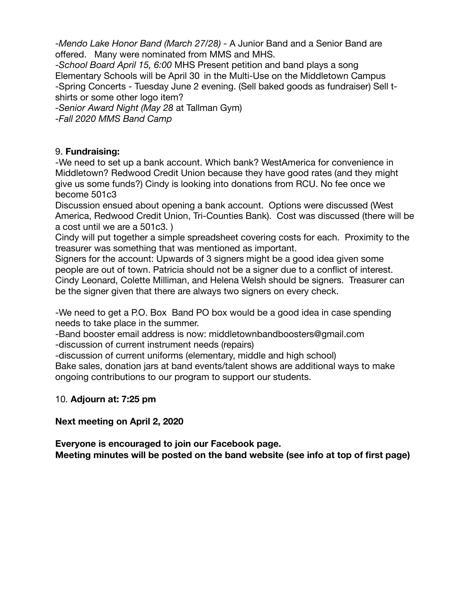-*Mendo Lake Honor Band (March 27/28)* - A Junior Band and a Senior Band are offered. Many were nominated from MMS and MHS.

-*School Board April 15, 6:00* MHS Present petition and band plays a song Elementary Schools will be April 30 in the Multi-Use on the Middletown Campus -Spring Concerts - Tuesday June 2 evening. (Sell baked goods as fundraiser) Sell tshirts or some other logo item?

*-Senior Award Night (May 28* at Tallman Gym)

-*Fall 2020 MMS Band Camp*

### 9. **Fundraising:**

-We need to set up a bank account. Which bank? WestAmerica for convenience in Middletown? Redwood Credit Union because they have good rates (and they might give us some funds?) Cindy is looking into donations from RCU. No fee once we become 501c3

Discussion ensued about opening a bank account. Options were discussed (West America, Redwood Credit Union, Tri-Counties Bank). Cost was discussed (there will be a cost until we are a 501c3. )

Cindy will put together a simple spreadsheet covering costs for each. Proximity to the treasurer was something that was mentioned as important.

Signers for the account: Upwards of 3 signers might be a good idea given some people are out of town. Patricia should not be a signer due to a conflict of interest. Cindy Leonard, Colette Milliman, and Helena Welsh should be signers. Treasurer can be the signer given that there are always two signers on every check.

-We need to get a P.O. Box Band PO box would be a good idea in case spending needs to take place in the summer.

-Band booster email address is now: middletownbandboosters@gmail.com -discussion of current instrument needs (repairs)

-discussion of current uniforms (elementary, middle and high school)

Bake sales, donation jars at band events/talent shows are additional ways to make ongoing contributions to our program to support our students.

### 10. **Adjourn at: 7:25 pm**

### **Next meeting on April 2, 2020**

**Everyone is encouraged to join our Facebook page.** 

**Meeting minutes will be posted on the band website (see info at top of first page)**